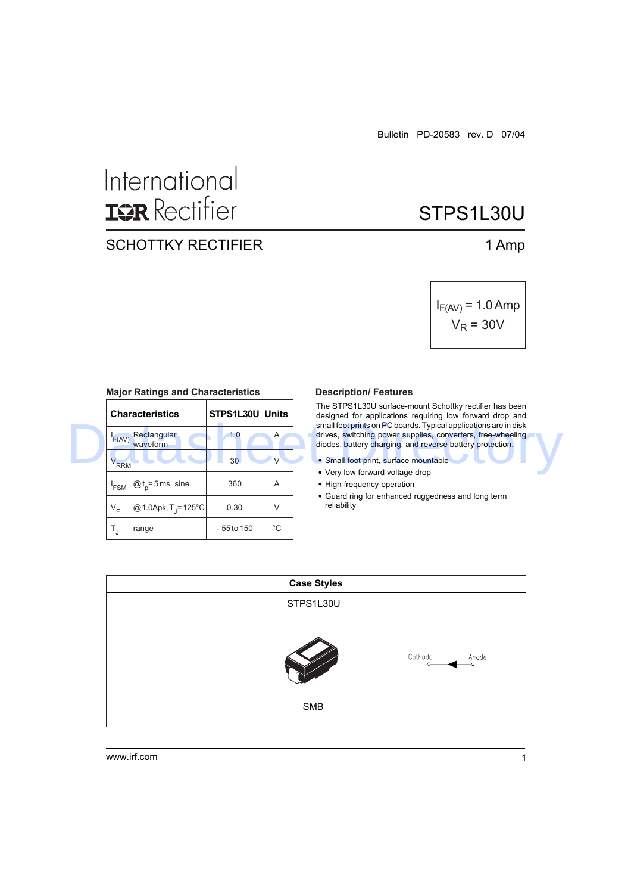# International **IQR** Rectifier

### SCHOTTKY RECTIFIER 1 Amp

# STPS1L30U

$$
I_{F(AV)} = 1.0 \text{ Amp}
$$
  

$$
V_R = 30V
$$

| <b>Major Ratings and Grianacteristics</b> |                 |               | <b>DESCRIPTION LIGALITICS</b>                                                                                                                                                           |  |  |
|-------------------------------------------|-----------------|---------------|-----------------------------------------------------------------------------------------------------------------------------------------------------------------------------------------|--|--|
| <b>Characteristics</b>                    | STPS1L30U       | Units         | The STPS1L30U surface-mount Schottky rectifier has been<br>designed for applications requiring low forward drop and<br>small foot prints on PC boards. Typical applications are in disk |  |  |
| Rectangular<br>F(AV)<br>waveform          | 1.0             | A             | drives, switching power supplies, converters, free-wheeling<br>diodes, battery charging, and reverse battery protection.                                                                |  |  |
| V <sub>RRM</sub>                          | 30 <sup>°</sup> | $\mathcal{U}$ | · Small foot print, surface mountable<br>• Very low forward voltage drop                                                                                                                |  |  |
| $@t_{n} = 5$ ms sine<br>'FSM              | 360             | A             | • High frequency operation                                                                                                                                                              |  |  |
| @ 1.0Apk, $T_1 = 125^{\circ}C$<br>$V_{E}$ | 0.30            | V             | • Guard ring for enhanced ruggedness and long term<br>reliability                                                                                                                       |  |  |
| range                                     | - 55 to 150     | °C            |                                                                                                                                                                                         |  |  |

#### **Major Ratings and Characteristics**

#### **Description/ Features**

- Small foot print, surface mountable
- Very low forward voltage drop
- High frequency operation
- Guard ring for enhanced ruggedness and long term reliability

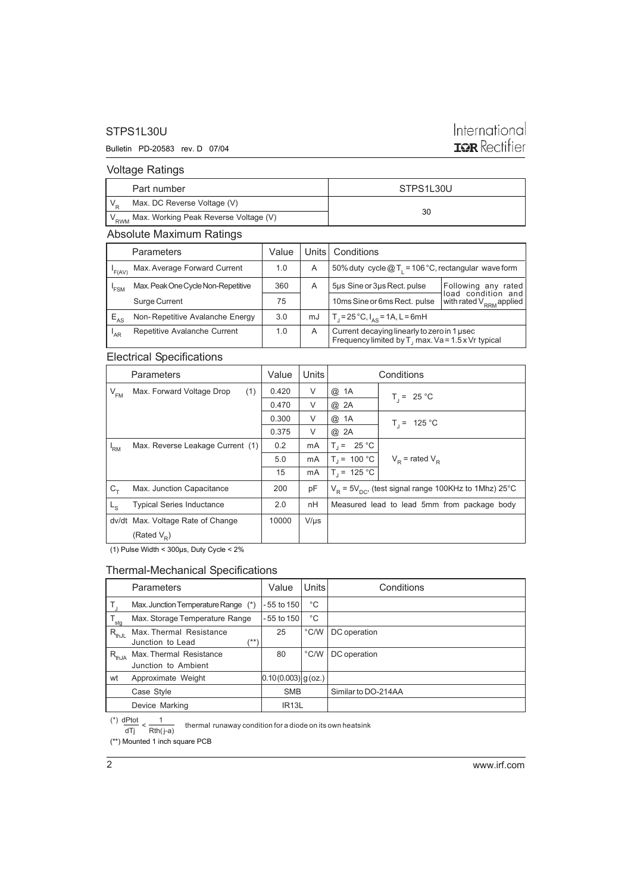#### STPS1L30U

#### Bulletin PD-20583 rev. D 07/04

## International TOR Rectifier

#### Voltage Ratings

| Part number                                              | STPS1L30U |  |
|----------------------------------------------------------|-----------|--|
| Max. DC Reverse Voltage (V)                              | 30        |  |
| ' V <sub>RWM</sub> Max. Working Peak Reverse Voltage (V) |           |  |

#### Absolute Maximum Ratings

|                  | <b>Parameters</b>                  | Value |    | Units   Conditions                                                                                |                                              |
|------------------|------------------------------------|-------|----|---------------------------------------------------------------------------------------------------|----------------------------------------------|
| F(AV)            | Max. Average Forward Current       | 1.0   | A  | 50% duty cycle $@T_1 = 106 °C$ , rectangular wave form                                            |                                              |
| <sup>1</sup> FSM | Max. Peak One Cycle Non-Repetitive | 360   | Α  | 5us Sine or 3us Rect. pulse                                                                       | Following any<br>rated<br>load condition and |
|                  | Surge Current                      | 75    |    | 10ms Sine or 6ms Rect. pulse                                                                      | with rated V <sub>RRM</sub> applied          |
| $E_{AS}$         | Non-Repetitive Avalanche Energy    | 3.0   | mJ | $T_i = 25^{\circ}C$ , $I_{ac} = 1A$ , L = 6mH                                                     |                                              |
| <sup>'</sup> AR  | Repetitive Avalanche Current       | 1.0   | Α  | Current decaying linearly to zero in 1 used<br>Frequency limited by T, max. Va = 1.5 x Vr typical |                                              |

#### Electrical Specifications

|                 | Parameters                        | Value | Units     |                                                           | Conditions                      |
|-----------------|-----------------------------------|-------|-----------|-----------------------------------------------------------|---------------------------------|
| $V_{\text{FM}}$ | (1)<br>Max. Forward Voltage Drop  | 0.420 | V         | @ 1A                                                      | $T_i = 25 °C$                   |
|                 |                                   | 0.470 | V         | @ 2A                                                      |                                 |
|                 |                                   | 0.300 | $\vee$    | @ 1A                                                      | $T_i = 125 °C$                  |
|                 |                                   | 0.375 | V         | @ 2A                                                      |                                 |
| <sup>I</sup> RM | Max. Reverse Leakage Current (1)  | 0.2   | mA        | $T_1 = 25 °C$                                             |                                 |
|                 |                                   | 5.0   | mA        | $T_1 = 100 °C$                                            | $V_{\rm p}$ = rated $V_{\rm p}$ |
|                 |                                   | 15    | mA        | $T_1 = 125 °C$                                            |                                 |
| $C_T$           | Max. Junction Capacitance         | 200   | pF        | $V_p = 5V_{pQ}$ , (test signal range 100KHz to 1Mhz) 25°C |                                 |
| $L_{\rm S}$     | <b>Typical Series Inductance</b>  | 2.0   | nH        | Measured lead to lead 5mm from package body               |                                 |
|                 | dv/dt Max. Voltage Rate of Change | 10000 | $V/\mu s$ |                                                           |                                 |
|                 | (Rated $V_p$ )                    |       |           |                                                           |                                 |

(1) Pulse Width < 300µs, Duty Cycle < 2%

#### Thermal-Mechanical Specifications

|                            | <b>Parameters</b>                                  | Value                  | Units         | Conditions          |
|----------------------------|----------------------------------------------------|------------------------|---------------|---------------------|
|                            | Max. Junction Temperature Range (*)                | $-55$ to 150           | °C            |                     |
| ${\mathsf T}_{\text{stg}}$ | Max. Storage Temperature Range                     | $-55$ to 150           | °C            |                     |
| $R_{thJL}$                 | Max. Thermal Resistance<br>Junction to Lead<br>/** | 25                     | $\degree$ C/W | DC operation        |
| $R_{thJA}$                 | Max. Thermal Resistance<br>Junction to Ambient     | 80                     | $\degree$ C/W | DC operation        |
| wt                         | Approximate Weight                                 | $[0.10(0.003)]$ g(oz.) |               |                     |
|                            | Case Style                                         | <b>SMB</b>             |               | Similar to DO-214AA |
|                            | Device Marking                                     | IR <sub>13</sub> L     |               |                     |

(\*\*) Mounted 1 inch square PCB thermal runaway condition for a diode on its own heatsink dTj Rth( j-a)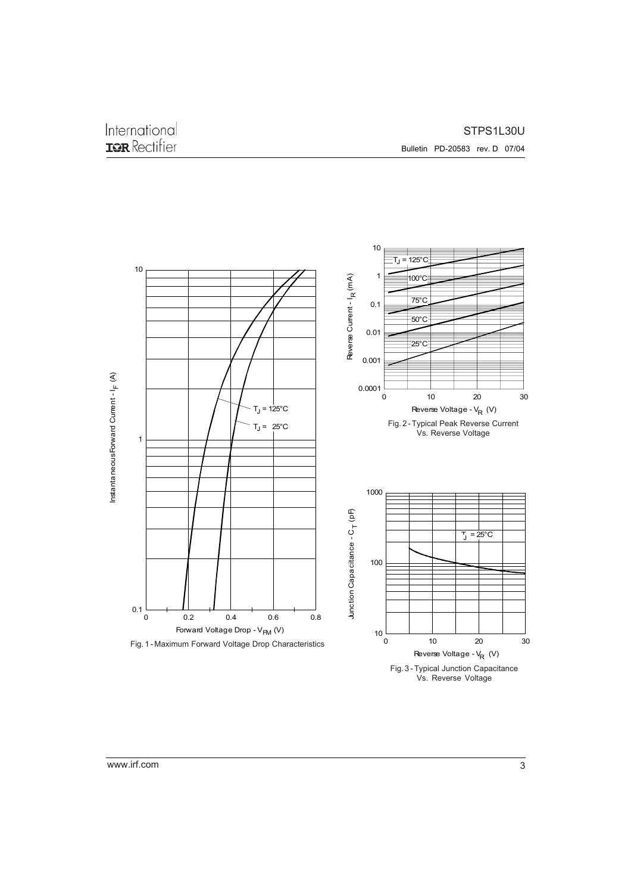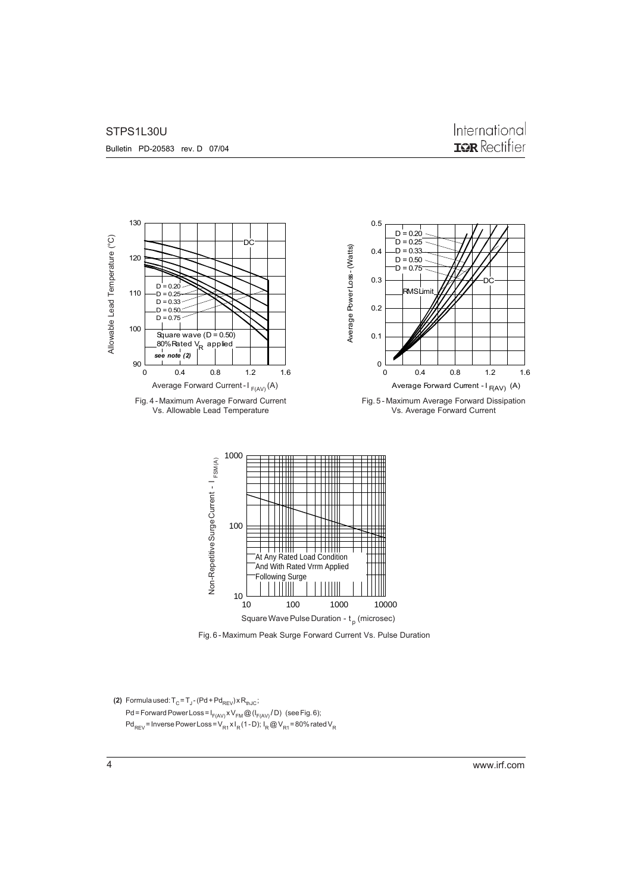#### STPS1L30U

### International **IGR** Rectifier



Fig. 6 - Maximum Peak Surge Forward Current Vs. Pulse Duration

#### **(2)** Formula used:  $T_{\text{C}}$  =  $T_{\text{J}}$  - (Pd + Pd<sub>REV</sub>) x R<sub>thJC</sub>; Pd = Forward Power Loss =  $I_{F(AV)}XV_{FM}$  @ ( $I_{F(AV)}$  / D) (see Fig. 6);  $Pd_{REV}$  = Inverse Power Loss =  $V_{R1}xI_R(1-D)$ ;  $I_R$  @  $V_{R1}$  = 80% rated  $V_R$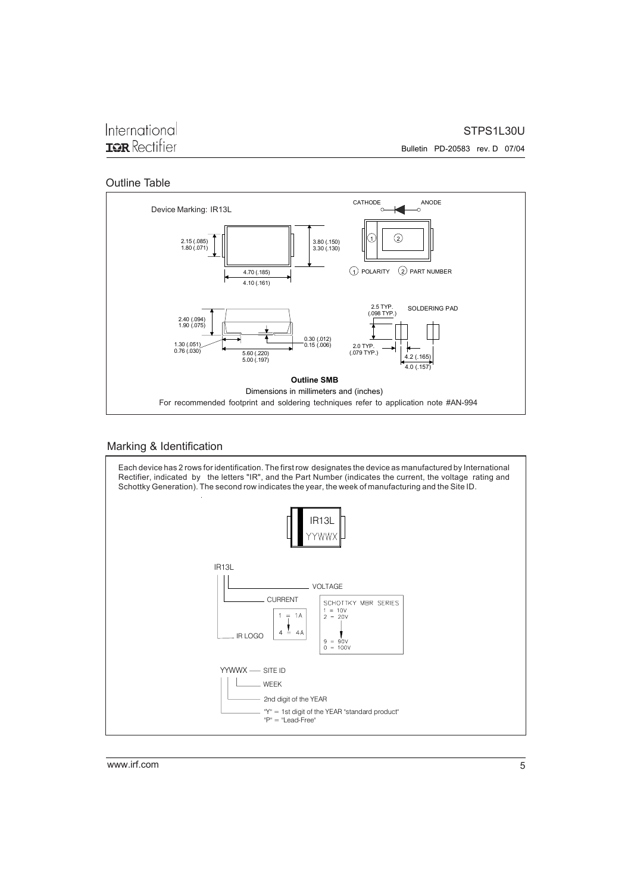### International **IOR** Rectifier

STPS1L30U

Bulletin PD-20583 rev. D 07/04

#### Outline Table



#### Marking & Identification